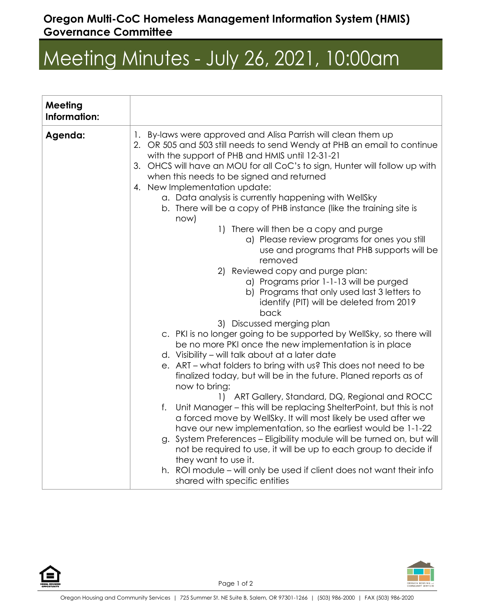## **Oregon Multi-CoC Homeless Management Information System (HMIS) Governance Committee**

## Meeting Minutes - July 26, 2021, 10:00am

| Meeting<br>Information: |                                                                                                                                                                                                                                                                                                                                                                                                                                                                                                                                                                                                                                                                                                                                                                                                                                                                                                                                                                                                                                                                                                                                                                                                                                                                                                                                                                                                                                                                                                                                                                                                                                                       |
|-------------------------|-------------------------------------------------------------------------------------------------------------------------------------------------------------------------------------------------------------------------------------------------------------------------------------------------------------------------------------------------------------------------------------------------------------------------------------------------------------------------------------------------------------------------------------------------------------------------------------------------------------------------------------------------------------------------------------------------------------------------------------------------------------------------------------------------------------------------------------------------------------------------------------------------------------------------------------------------------------------------------------------------------------------------------------------------------------------------------------------------------------------------------------------------------------------------------------------------------------------------------------------------------------------------------------------------------------------------------------------------------------------------------------------------------------------------------------------------------------------------------------------------------------------------------------------------------------------------------------------------------------------------------------------------------|
| Agenda:                 | 1. By-laws were approved and Alisa Parrish will clean them up<br>2. OR 505 and 503 still needs to send Wendy at PHB an email to continue<br>with the support of PHB and HMIS until 12-31-21<br>3. OHCS will have an MOU for all CoC's to sign, Hunter will follow up with<br>when this needs to be signed and returned<br>4. New Implementation update:<br>a. Data analysis is currently happening with WellSky<br>b. There will be a copy of PHB instance (like the training site is<br>now)<br>1) There will then be a copy and purge<br>a) Please review programs for ones you still<br>use and programs that PHB supports will be<br>removed<br>2) Reviewed copy and purge plan:<br>a) Programs prior 1-1-13 will be purged<br>b) Programs that only used last 3 letters to<br>identify (PIT) will be deleted from 2019<br>back<br>3) Discussed merging plan<br>c. PKI is no longer going to be supported by WellSky, so there will<br>be no more PKI once the new implementation is in place<br>d. Visibility – will talk about at a later date<br>e. ART – what folders to bring with us? This does not need to be<br>finalized today, but will be in the future. Planed reports as of<br>now to bring:<br>1) ART Gallery, Standard, DQ, Regional and ROCC<br>Unit Manager – this will be replacing ShelterPoint, but this is not<br>f.<br>a forced move by WellSky. It will most likely be used after we<br>have our new implementation, so the earliest would be 1-1-22<br>g. System Preferences - Eligibility module will be turned on, but will<br>not be required to use, it will be up to each group to decide if<br>they want to use it. |
|                         | h. ROI module – will only be used if client does not want their info<br>shared with specific entities                                                                                                                                                                                                                                                                                                                                                                                                                                                                                                                                                                                                                                                                                                                                                                                                                                                                                                                                                                                                                                                                                                                                                                                                                                                                                                                                                                                                                                                                                                                                                 |